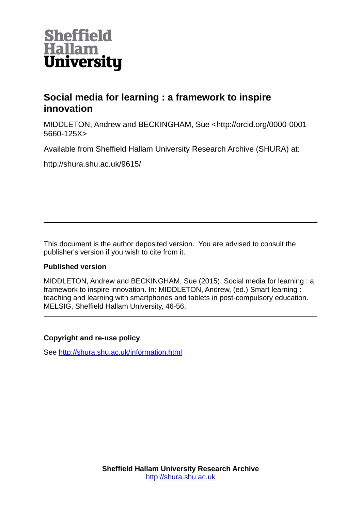

## **Social media for learning : a framework to inspire innovation**

MIDDLETON, Andrew and BECKINGHAM, Sue <http://orcid.org/0000-0001- 5660-125X>

Available from Sheffield Hallam University Research Archive (SHURA) at:

http://shura.shu.ac.uk/9615/

This document is the author deposited version. You are advised to consult the publisher's version if you wish to cite from it.

## **Published version**

MIDDLETON, Andrew and BECKINGHAM, Sue (2015). Social media for learning : a framework to inspire innovation. In: MIDDLETON, Andrew, (ed.) Smart learning : teaching and learning with smartphones and tablets in post-compulsory education. MELSIG, Sheffield Hallam University, 46-56.

## **Copyright and re-use policy**

See<http://shura.shu.ac.uk/information.html>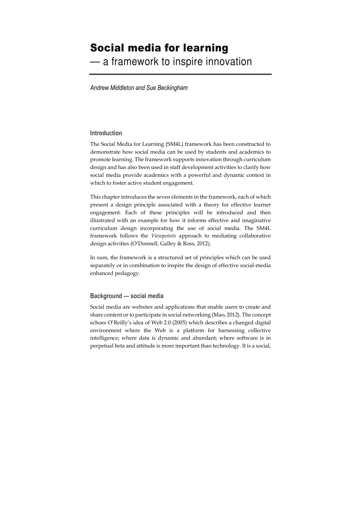# Social media for learning — a framework to inspire innovation

Andrew Middleton and Sue Beckingham

#### Introduction

The Social Media for Learning (SM4L) framework has been constructed to demonstrate how social media can be used by students and academics to promote learning. The framework supports innovation through curriculum design and has also been used in staff development activities to clarify how social media provide academics with a powerful and dynamic context in which to foster active student engagement.

This chapter introduces the seven elements in the framework, each of which present a design principle associated with a theory for effective learner engagement. Each of these principles will be introduced and then illustrated with an example for how it informs effective and imaginative curriculum design incorporating the use of social media. The SM4L framework follows the Viewpoints approach to mediating collaborative design activities (O'Donnell, Galley & Ross, 2012).

In sum, the framework is a structured set of principles which can be used separately or in combination to inspire the design of effective social-media enhanced pedagogy.

#### Background — social media

Social media are websites and applications that enable users to create and share content or to participate in social networking (Mao, 2012). The concept echoes O'Reilly's idea of Web 2.0 (2005) which describes a changed digital environment where the Web is a platform for harnessing collective intelligence; where data is dynamic and abundant; where software is in perpetual beta and attitude is more important than technology. It is a social,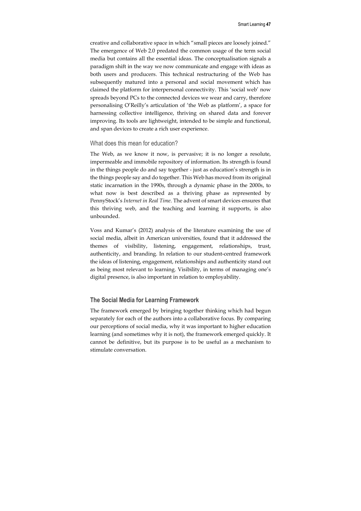creative and collaborative space in which "small pieces are loosely joined." The emergence of Web 2.0 predated the common usage of the term social media but contains all the essential ideas. The conceptualisation signals a paradigm shift in the way we now communicate and engage with ideas as both users and producers. This technical restructuring of the Web has subsequently matured into a personal and social movement which has claimed the platform for interpersonal connectivity. This 'social web' now spreads beyond PCs to the connected devices we wear and carry, therefore personalising O'Reilly's articulation of 'the Web as platform', a space for harnessing collective intelligence, thriving on shared data and forever improving. Its tools are lightweight, intended to be simple and functional, and span devices to create a rich user experience.

#### What does this mean for education?

The Web, as we know it now, is pervasive; it is no longer a resolute, impermeable and immobile repository of information. Its strength is found in the things people do and say together - just as education's strength is in the things people say and do together. This Web has moved from its original static incarnation in the 1990s, through a dynamic phase in the 2000s, to what now is best described as a thriving phase as represented by PennyStock's Internet in Real Time. The advent of smart devices ensures that this thriving web, and the teaching and learning it supports, is also unbounded.

Voss and Kumar's (2012) analysis of the literature examining the use of social media, albeit in American universities, found that it addressed the themes of visibility, listening, engagement, relationships, trust, authenticity, and branding. In relation to our student-centred framework the ideas of listening, engagement, relationships and authenticity stand out as being most relevant to learning. Visibility, in terms of managing one's digital presence, is also important in relation to employability.

#### The Social Media for Learning Framework

The framework emerged by bringing together thinking which had begun separately for each of the authors into a collaborative focus. By comparing our perceptions of social media, why it was important to higher education learning (and sometimes why it is not), the framework emerged quickly. It cannot be definitive, but its purpose is to be useful as a mechanism to stimulate conversation.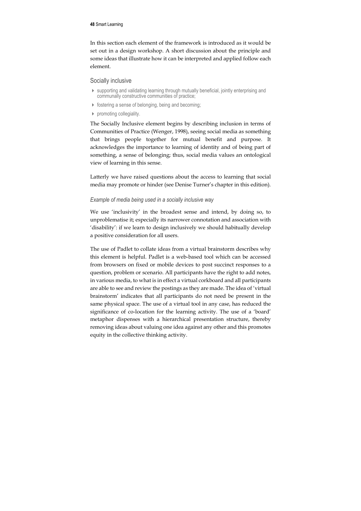In this section each element of the framework is introduced as it would be set out in a design workshop. A short discussion about the principle and some ideas that illustrate how it can be interpreted and applied follow each element.

#### Socially inclusive

- supporting and validating learning through mutually beneficial, jointly enterprising and communally constructive communities of practice;
- **Figure 1** fostering a sense of belonging, being and becoming;
- **P** promoting collegiality.

The Socially Inclusive element begins by describing inclusion in terms of Communities of Practice (Wenger, 1998), seeing social media as something that brings people together for mutual benefit and purpose. It acknowledges the importance to learning of identity and of being part of something, a sense of belonging; thus, social media values an ontological view of learning in this sense.

Latterly we have raised questions about the access to learning that social media may promote or hinder (see Denise Turner's chapter in this edition).

#### Example of media being used in a socially inclusive way

We use 'inclusivity' in the broadest sense and intend, by doing so, to unproblematise it; especially its narrower connotation and association with 'disability': if we learn to design inclusively we should habitually develop a positive consideration for all users.

The use of Padlet to collate ideas from a virtual brainstorm describes why this element is helpful. Padlet is a web-based tool which can be accessed from browsers on fixed or mobile devices to post succinct responses to a question, problem or scenario. All participants have the right to add notes, in various media, to what is in effect a virtual corkboard and all participants are able to see and review the postings as they are made. The idea of 'virtual brainstorm' indicates that all participants do not need be present in the same physical space. The use of a virtual tool in any case, has reduced the significance of co-location for the learning activity. The use of a 'board' metaphor dispenses with a hierarchical presentation structure, thereby removing ideas about valuing one idea against any other and this promotes equity in the collective thinking activity.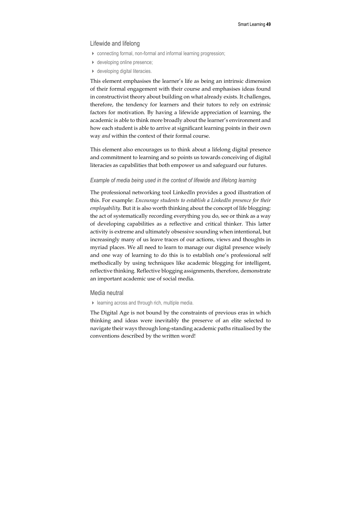#### Lifewide and lifelong

- connecting formal, non-formal and informal learning progression;
- $\blacktriangleright$  developing online presence;
- ▶ developing digital literacies.

This element emphasises the learner's life as being an intrinsic dimension of their formal engagement with their course and emphasises ideas found in constructivist theory about building on what already exists. It challenges, therefore, the tendency for learners and their tutors to rely on extrinsic factors for motivation. By having a lifewide appreciation of learning, the academic is able to think more broadly about the learner's environment and how each student is able to arrive at significant learning points in their own way and within the context of their formal course.

This element also encourages us to think about a lifelong digital presence and commitment to learning and so points us towards conceiving of digital literacies as capabilities that both empower us and safeguard our futures.

#### Example of media being used in the context of lifewide and lifelong learning

The professional networking tool LinkedIn provides a good illustration of this. For example: Encourage students to establish a LinkedIn presence for their employability. But it is also worth thinking about the concept of life blogging: the act of systematically recording everything you do, see or think as a way of developing capabilities as a reflective and critical thinker. This latter activity is extreme and ultimately obsessive sounding when intentional, but increasingly many of us leave traces of our actions, views and thoughts in myriad places. We all need to learn to manage our digital presence wisely and one way of learning to do this is to establish one's professional self methodically by using techniques like academic blogging for intelligent, reflective thinking. Reflective blogging assignments, therefore, demonstrate an important academic use of social media.

#### Media neutral

#### $\blacktriangleright$  learning across and through rich, multiple media.

The Digital Age is not bound by the constraints of previous eras in which thinking and ideas were inevitably the preserve of an elite selected to navigate their ways through long-standing academic paths ritualised by the conventions described by the written word!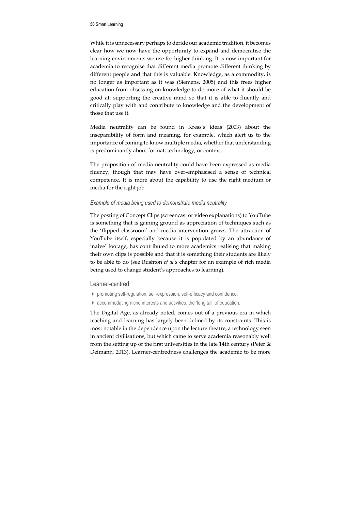While it is unnecessary perhaps to deride our academic tradition, it becomes clear how we now have the opportunity to expand and democratise the learning environments we use for higher thinking. It is now important for academia to recognise that different media promote different thinking by different people and that this is valuable. Knowledge, as a commodity, is no longer as important as it was (Siemens, 2005) and this frees higher education from obsessing on knowledge to do more of what it should be good at: supporting the creative mind so that it is able to fluently and critically play with and contribute to knowledge and the development of those that use it.

Media neutrality can be found in Kress's ideas (2003) about the inseparability of form and meaning, for example, which alert us to the importance of coming to know multiple media, whether that understanding is predominantly about format, technology, or context.

The proposition of media neutrality could have been expressed as media fluency, though that may have over-emphasised a sense of technical competence. It is more about the capability to use the right medium or media for the right job.

#### Example of media being used to demonstrate media neutrality

The posting of Concept Clips (screencast or video explanations) to YouTube is something that is gaining ground as appreciation of techniques such as the 'flipped classroom' and media intervention grows. The attraction of YouTube itself, especially because it is populated by an abundance of 'naive' footage, has contributed to more academics realising that making their own clips is possible and that it is something their students are likely to be able to do (see Rushton et al's chapter for an example of rich media being used to change student's approaches to learning).

#### Learner-centred

- promoting self-regulation, self-expression, self-efficacy and confidence;
- accommodating niche interests and activities, the 'long tail' of education.

The Digital Age, as already noted, comes out of a previous era in which teaching and learning has largely been defined by its constraints. This is most notable in the dependence upon the lecture theatre, a technology seen in ancient civilisations, but which came to serve academia reasonably well from the setting up of the first universities in the late 14th century (Peter  $\&$ Deimann, 2013). Learner-centredness challenges the academic to be more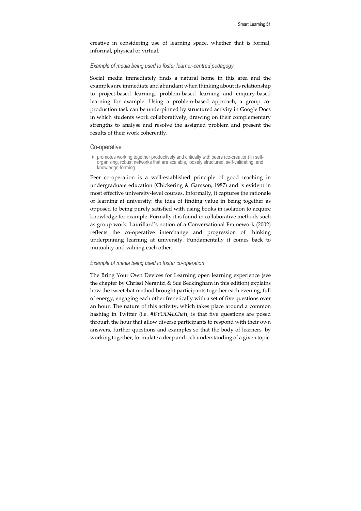creative in considering use of learning space, whether that is formal, informal, physical or virtual.

#### Example of media being used to foster learner-centred pedagogy

Social media immediately finds a natural home in this area and the examples are immediate and abundant when thinking about its relationship to project-based learning, problem-based learning and enquiry-based learning for example. Using a problem-based approach, a group coproduction task can be underpinned by structured activity in Google Docs in which students work collaboratively, drawing on their complementary strengths to analyse and resolve the assigned problem and present the results of their work coherently.

#### Co-operative

 promotes working together productively and critically with peers (co-creation) in selforganising, robust networks that are scalable, loosely structured, self-validating, and knowledge-forming.

Peer co-operation is a well-established principle of good teaching in undergraduate education (Chickering & Gamson, 1987) and is evident in most effective university-level courses. Informally, it captures the rationale of learning at university: the idea of finding value in being together as opposed to being purely satisfied with using books in isolation to acquire knowledge for example. Formally it is found in collaborative methods such as group work. Laurillard's notion of a Conversational Framework (2002) reflects the co-operative interchange and progression of thinking underpinning learning at university. Fundamentally it comes back to mutuality and valuing each other.

#### Example of media being used to foster co-operation

The Bring Your Own Devices for Learning open learning experience (see the chapter by Chrissi Nerantzi & Sue Beckingham in this edition) explains how the tweetchat method brought participants together each evening, full of energy, engaging each other frenetically with a set of five questions over an hour. The nature of this activity, which takes place around a common hashtag in Twitter (i.e. #BYOD4LChat), is that five questions are posed through the hour that allow diverse participants to respond with their own answers, further questions and examples so that the body of learners, by working together, formulate a deep and rich understanding of a given topic.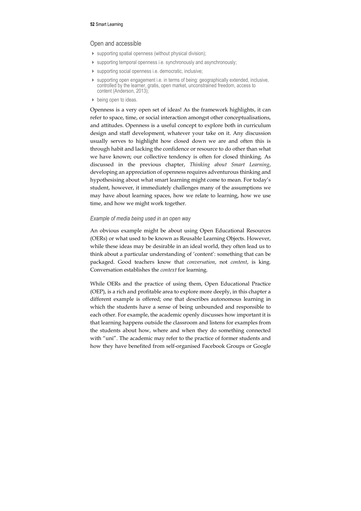#### Open and accessible

- $\triangleright$  supporting spatial openness (without physical division);
- supporting temporal openness i.e. synchronously and asynchronously;
- supporting social openness i.e. democratic, inclusive;
- supporting open engagement i.e. in terms of being: geographically extended, inclusive, controlled by the learner, gratis, open market, unconstrained freedom, access to content (Anderson, 2013);
- $\triangleright$  being open to ideas.

Openness is a very open set of ideas! As the framework highlights, it can refer to space, time, or social interaction amongst other conceptualisations, and attitudes. Openness is a useful concept to explore both in curriculum design and staff development, whatever your take on it. Any discussion usually serves to highlight how closed down we are and often this is through habit and lacking the confidence or resource to do other than what we have known; our collective tendency is often for closed thinking. As discussed in the previous chapter, Thinking about Smart Learning, developing an appreciation of openness requires adventurous thinking and hypothesising about what smart learning might come to mean. For today's student, however, it immediately challenges many of the assumptions we may have about learning spaces, how we relate to learning, how we use time, and how we might work together.

#### Example of media being used in an open way

An obvious example might be about using Open Educational Resources (OERs) or what used to be known as Reusable Learning Objects. However, while these ideas may be desirable in an ideal world, they often lead us to think about a particular understanding of 'content': something that can be packaged. Good teachers know that conversation, not content, is king. Conversation establishes the context for learning.

While OERs and the practice of using them, Open Educational Practice (OEP), is a rich and profitable area to explore more deeply, in this chapter a different example is offered; one that describes autonomous learning in which the students have a sense of being unbounded and responsible to each other. For example, the academic openly discusses how important it is that learning happens outside the classroom and listens for examples from the students about how, where and when they do something connected with "uni". The academic may refer to the practice of former students and how they have benefited from self-organised Facebook Groups or Google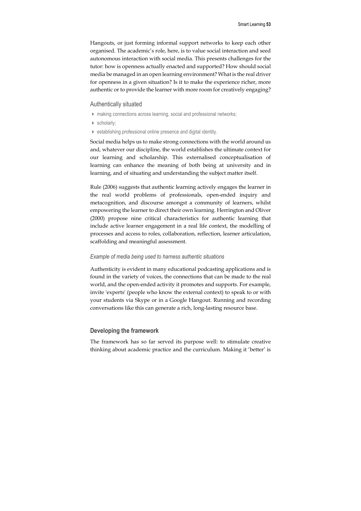Hangouts, or just forming informal support networks to keep each other organised. The academic's role, here, is to value social interaction and seed autonomous interaction with social media. This presents challenges for the tutor: how is openness actually enacted and supported? How should social media be managed in an open learning environment? What is the real driver for openness in a given situation? Is it to make the experience richer, more authentic or to provide the learner with more room for creatively engaging?

#### Authentically situated

- making connections across learning, social and professional networks;
- scholarly:
- establishing professional online presence and digital identity.

Social media helps us to make strong connections with the world around us and, whatever our discipline, the world establishes the ultimate context for our learning and scholarship. This externalised conceptualisation of learning can enhance the meaning of both being at university and in learning, and of situating and understanding the subject matter itself.

Rule (2006) suggests that authentic learning actively engages the learner in the real world problems of professionals, open-ended inquiry and metacognition, and discourse amongst a community of learners, whilst empowering the learner to direct their own learning. Herrington and Oliver (2000) propose nine critical characteristics for authentic learning that include active learner engagement in a real life context, the modelling of processes and access to roles, collaboration, reflection, learner articulation, scaffolding and meaningful assessment.

#### Example of media being used to harness authentic situations

Authenticity is evident in many educational podcasting applications and is found in the variety of voices, the connections that can be made to the real world, and the open-ended activity it promotes and supports. For example, invite 'experts' (people who know the external context) to speak to or with your students via Skype or in a Google Hangout. Running and recording conversations like this can generate a rich, long-lasting resource base.

#### Developing the framework

The framework has so far served its purpose well: to stimulate creative thinking about academic practice and the curriculum. Making it 'better' is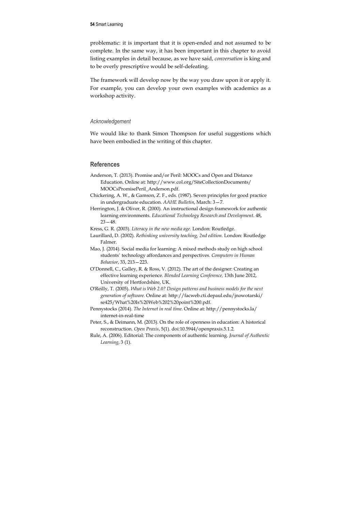problematic: it is important that it is open-ended and not assumed to be complete. In the same way, it has been important in this chapter to avoid listing examples in detail because, as we have said, conversation is king and to be overly prescriptive would be self-defeating.

The framework will develop now by the way you draw upon it or apply it. For example, you can develop your own examples with academics as a workshop activity.

#### Acknowledgement

We would like to thank Simon Thompson for useful suggestions which have been embodied in the writing of this chapter.

#### **References**

- Anderson, T. (2013). Promise and/or Peril: MOOCs and Open and Distance Education. Online at: http://www.col.org/SiteCollectionDocuments/ MOOCsPromisePeril\_Anderson.pdf.
- Chickering, A. W., & Gamson, Z. F., eds. (1987). Seven principles for good practice in undergraduate education. AAHE Bulletin, March: 3—7.
- Herrington, J. & Oliver, R. (2000). An instructional design framework for authentic learning environments. Educational Technology Research and Development. 48, 23—48.

Kress, G. R. (2003). Literacy in the new media age. London: Routledge.

- Laurillard, D. (2002). Rethinking university teaching, 2nd edition. London: Routledge Falmer.
- Mao, J. (2014). Social media for learning: A mixed methods study on high school students' technology affordances and perspectives. Computers in Human Behavior, 33, 213—223.
- O'Donnell, C., Galley, R. & Ross, V. (2012). The art of the designer: Creating an effective learning experience. Blended Learning Conference, 13th June 2012, University of Hertfordshire, UK.
- O'Reilly, T. (2005). What is Web 2.0? Design patterns and business models for the next generation of software. Online at: http://facweb.cti.depaul.edu/jnowotarski/ se425/What%20Is%20Web%202%20point%200.pdf.
- Pennystocks (2014). The Internet in real time. Online at: http://pennystocks.la/ internet-in-real-time
- Peter, S., & Deimann, M. (2013). On the role of openness in education: A historical reconstruction. Open Praxis, 5(1). doi:10.5944/openpraxis.5.1.2.
- Rule, A. (2006). Editorial: The components of authentic learning. Journal of Authentic Learning, 3 (1).